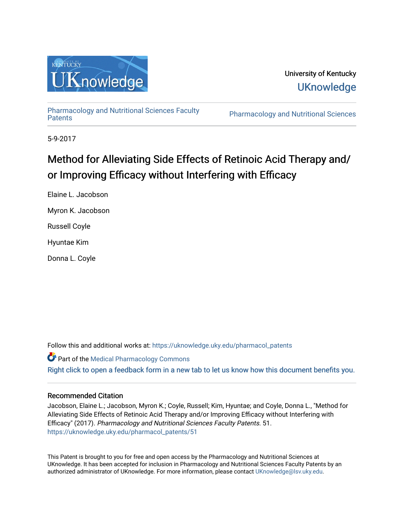

University of Kentucky **UKnowledge** 

[Pharmacology and Nutritional Sciences Faculty](https://uknowledge.uky.edu/pharmacol_patents)

Pharmacology and Nutritional Sciences

5-9-2017

# Method for Alleviating Side Effects of Retinoic Acid Therapy and/ or Improving Efficacy without Interfering with Efficacy

Elaine L. Jacobson

Myron K. Jacobson

Russell Coyle

Hyuntae Kim

Donna L. Coyle

Follow this and additional works at: [https://uknowledge.uky.edu/pharmacol\\_patents](https://uknowledge.uky.edu/pharmacol_patents?utm_source=uknowledge.uky.edu%2Fpharmacol_patents%2F51&utm_medium=PDF&utm_campaign=PDFCoverPages) 

Part of the [Medical Pharmacology Commons](http://network.bepress.com/hgg/discipline/960?utm_source=uknowledge.uky.edu%2Fpharmacol_patents%2F51&utm_medium=PDF&utm_campaign=PDFCoverPages)  [Right click to open a feedback form in a new tab to let us know how this document benefits you.](https://uky.az1.qualtrics.com/jfe/form/SV_9mq8fx2GnONRfz7)

### Recommended Citation

Jacobson, Elaine L.; Jacobson, Myron K.; Coyle, Russell; Kim, Hyuntae; and Coyle, Donna L., "Method for Alleviating Side Effects of Retinoic Acid Therapy and/or Improving Efficacy without Interfering with Efficacy" (2017). Pharmacology and Nutritional Sciences Faculty Patents. 51. [https://uknowledge.uky.edu/pharmacol\\_patents/51](https://uknowledge.uky.edu/pharmacol_patents/51?utm_source=uknowledge.uky.edu%2Fpharmacol_patents%2F51&utm_medium=PDF&utm_campaign=PDFCoverPages) 

This Patent is brought to you for free and open access by the Pharmacology and Nutritional Sciences at UKnowledge. It has been accepted for inclusion in Pharmacology and Nutritional Sciences Faculty Patents by an authorized administrator of UKnowledge. For more information, please contact [UKnowledge@lsv.uky.edu](mailto:UKnowledge@lsv.uky.edu).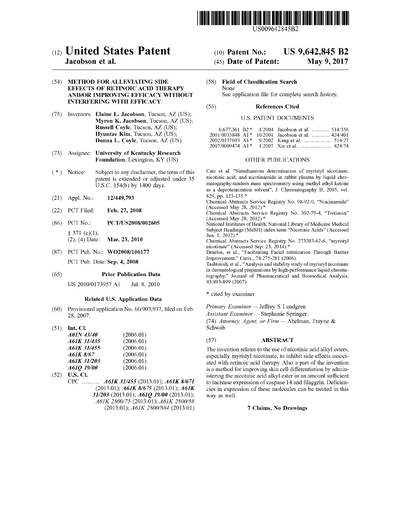

US009642845B2

### c12) **United States Patent**

#### **Jacobson et al.**

#### (54) **METHOD FOR ALLEVIATING SIDE EFFECTS OF RETINOIC ACID THERAPY AND/OR IMPROVING EFFICACY WITHOUT INTERFERING WITH EFFICACY**

- (75) Inventors: **Elaine L. Jacobson,** Tucson, AZ (US); **Myron K. Jacobson,** Tucson, AZ (US); **Russell Coyle,** Tucson, AZ (US); **Hyuntae Kim,** Tucson, AZ (US); **Donna L. Coyle,** Tucson, AZ (US)
- (73) Assignee: **University of Kentucky Research Foundation,** Lexington, KY (US)
- $(*)$  Notice: Subject to any disclaimer, the term of this patent is extended or adjusted under 35 U.S.C. 154(b) by 1400 days.
- (21) Appl. No.: **12/449,793**
- (22) PCT Filed: **Feb. 27, 2008**
- (86) PCT No.: **PCT /US2008/002605**   $§ 371 (c)(1),$ <br>(2), (4) Date: Mar. 23, 2010
- (87) PCT Pub. No.: **WO2008/106177**  PCT Pub. Date: **Sep. 4, 2008**

#### (65) **Prior Publication Data**

US 2010/0173957 Al Jul. 8, 2010

#### **Related U.S. Application Data**

- (60) Provisional application No. 60/903,937, filed on Feb. 28, 2007.
- (51) **Int. Cl.**

| A01N 43/40  | (2006.01) |
|-------------|-----------|
| A61K 31/435 | (2006.01) |
| A61K 31/455 | (2006.01) |
| A61K 8/67   | (2006.01) |
| A61K 31/203 | (2006.01) |
| A610 19/00  | (2006.01) |

(52) **U.S. Cl.**  CPC ............ *A61K 31/455* (2013.01); *A61K 8/671* (2013.01); *A61K 81675* (2013.01); *A61K 31/203* (2013.01); *A61Q 19100* (2013.01); *A61K 2800175* (2013.01); *A61K 2800/88*  (2013.01); *A61K 2800/884* (2013.01)

## (IO) **Patent No.:** US 9,642,845 B2

#### (45) **Date of Patent:** May 9, 2017

(58) **Field of Classification Search**  None See application file for complete search history.

### (56) **References Cited**

#### U.S. PATENT DOCUMENTS

|  | 6,677,361 B2 * $1/2004$ Jacobson et al.  514/356  |
|--|---------------------------------------------------|
|  | 2001/0033848 A1* 10/2001 Jacobson et al.  424/401 |
|  |                                                   |
|  |                                                   |

#### OTHER PUBLICATIONS

Catz et al. "Simultaneous determination of myristyl nicotinate, nicotinic acid, and nicotinamide in rabbit plasma by liquid chromatography-tandem mass spectrometry using methyl ethyl ketone as a deproteinization solvent", J. Chromatography B, 2005, vol. 829, pp. 123-135.\*

Chemical Abstracts Service Registry No. 98-92-0, "Niacinamide" (Accessed May 28, 2012).\*

Chemical Abstracts Service Registry No. 302-79-4, "Tretinoin" (Accessed May 28, 2012).\*

National Institutes of Health, National Library of Medicine Medical Subject Headings (MeSH) index term "Nicotinic Acids" (Accessed Jun. 1, 2012).\*

Chemical Abstracts Service Registry No. 273203-62-6, "myristyl nicotinate" (Accessed Sep. 23, 2014). \*

Draelos, et al., "Facilitating Facial retinization Through Barrier Improvement," Cutis., 78:275-281 (2006).

Tashtoush, et al., "Analysis and stability study of myristyl nicotinate in dermatological preparations by high-performance liquid chromatography," Journal of Pharmaceutical and Biomedical Analysis, 43:893-899 (2007).

\* cited by examiner

Schwab

Primary Examiner - Jeffrey S Lundgren

*Assistant Examiner* - Stephanie Springer (74) *Attorney, Agent, or Firm* - Abelman, Frayne &

#### (57) **ABSTRACT**

The invention relates to the use of nicotinic acid alkyl esters, especially myristyl nicotinate, to inhibit side effects associated with retinoic acid therapy. Also a part of the invention is a method for improving skin cell differentiation by administering the nicotinic acid alkyl ester in an amount sufficient to increase expression of caspase 14 and filaggrin. Deficiencies in expression of these molecules can be treated in this way as well.

#### 7 **Claims, No Drawings**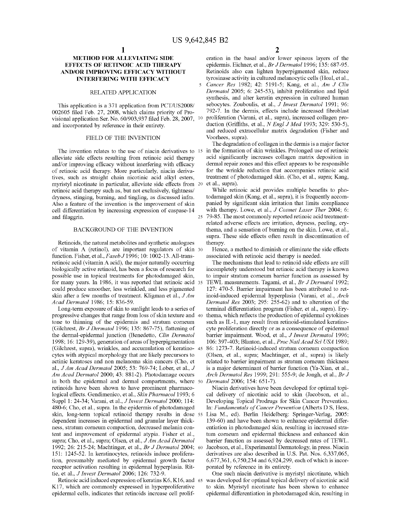#### **METHOD FOR ALLEVIATING SIDE EFFECTS OF RETINOIC ACID THERAPY AND/OR IMPROVING EFFICACY WITHOUT INTERFERING WITH EFFICACY**

#### RELATED APPLICATION

This application is a 371 application from PCT/US2008/ 002605 filed Feb. 27, 2008, which claims priority of Provisional application Ser. No. 60/903,937 filed Feb. 28, 2007, and incorporated by reference in their entirety.

#### FIELD OF THE INVENTION

The invention relates to the use of niacin derivatives to 15 alleviate side effects resulting from retinoic acid therapy and/or improving efficacy without interfering with efficacy of retinoic acid therapy. More particularly, niacin derivatives, such as straight chain nicotinic acid alkyl esters, myristyl nicotinate in particular, alleviate side effects from retinoic acid therapy such as, but not exclusively, tightness/ dryness, stinging, burning, and tingling, as discussed infra. Also a feature of the invention is the improvement of skin cell differentiation by increasing expression of caspase-14 and filaggrin.

#### BACKGROUND OF THE INVENTION

Retinoids, the natural metabolites and synthetic analogues of vitamin A (retinal), are important regulators of skin 30 function. Fisher, et al., *FasebJ* 1996; 10: 1002-13. All-transretinoic acid (vitamin A acid), the major naturally occurring biologically active retinoid, has been a focus of research for possible use in topical treatments for photodamaged skin, for many years. In 1986, it was reported that retinoic acid 35 could produce smoother, less wrinkled, and less pigmented skin after a few months of treatment. Kligman et al., *J Am Acad Dermatol* 1986; 15: 836-59.

Long-term exposure of skin to sunlight leads to a series of progressive changes that range from loss of skin texture and 40 tone to thinning of the epidermis and stratum comeum (Gilchrest, *Br J Dermatol* 1996; 135: 867-75), flattening of the dermal-epidermal junction (Benedetto, *Clin Dermatol*  1998; 16: 129-39), generation of areas of hyperpigmentation (Gilchrest, supra), wrinkles, and accumulation of keratino- <sup>45</sup> cytes with atypical morphology that are likely precursors to actinic keratoses and non melanoma skin cancers (Cho, et al., *J Am Acad Dermatol* 2005; 53: 769-74; Lober, et al., *J Am Acad Dermatol* 2000; 43: 881-2). Photodamage occurs in both the epidermal and dermal compartments, where 50 *Dermatol* 2006; 154: 651-7). retinoids have been shown to have prominent pharmacological effects. Gendimenico, et al., *Skin Pharmacol* l 993; 6 Suppl 1: 24-34; Varani, et al., *J Invest Dermatol* 2000; 114: 480-6; Cho, et al., supra. In the epidermis of photodamaged skin, long-term topical retinoid therapy results in dose 55 dependent increases in epidermal and granular layer thickness, stratum corneum compaction, decreased melanin content and improvement of epidermal atypia. Fisher et al., supra; Cho, et al., supra; Olsen, et al., *J Am Acad Dermatol*  1992; 26: 215-24; Machtinger, et al., *Br J Dermatol* 2004; 60 151: 1245-52. In keratinocytes, retinoids induce proliferation, presumably mediated by epidermal growth factor receptor activation resulting in epidermal hyperplasia. Rittie, et al., *J Invest Dermatol* 2006; 126: 732-9.

Retinoic acid induced expression of keratins K6, K16, and 65 K17, which are commonly expressed in hyperproliferative epidermal cells, indicates that retinoids increase cell prolif**2** 

eration in the basal and/or lower spinous layers of the epidermis. Eichner, et al., *Br J Dermatol* 1996; 135: 687-95. Retinoids also can lighten hyperpigmented skin, reduce tyrosinase activity in cultured melanocytic cells (Hoal, et al.,

5 *Cancer Res* 1982; 42: 5191-5; Kang, et al., *Am J Clin Dermatol* 2005; 6: 245-53), inhibit proliferation and lipid synthesis, and alter keratin expression in cultured human sebocytes. Zouboulis, et al., *J Invest Dermatol* 1991; 96: 792-7. In the dermis, effects include increased fibroblast proliferation (Varani, et al., supra), increased collagen production (Griffiths, et al., *N Engl J Med* 1993; 329: 530-5), and reduced extracellular matrix degradation (Fisher and Voorhees, supra).

The degradation of collagen in the dermis is a major factor in the formation of skin wrinkles. Prolonged use of retinoic acid significantly increases collagen matrix deposition in dermal repair zones and this effect appears to be responsible for the wrinkle reduction that accompanies retinoic acid treatment of photodamaged skin. (Cho, et al., supra; Kang, et al., supra).

While retinoic acid provides multiple benefits to photodamaged skin (Kang, et al., supra), it is frequently accompanied by significant skin irritation that limits compliance with therapy. Lowe, et al., *J Cosmet Laser Ther* 2004; 6: 25 79-85. The most commonly reported retinoic acid treatmentrelated adverse effects are irritation, dryness, peeling, erythema, and a sensation of burning on the skin. Lowe, et al., supra. These side effects often result in discontinuation of therapy.

Hence, a method to diminish or eliminate the side effects associated with retinoic acid therapy is needed.

The mechanisms that lead to retinoid side effects are still incompletely understood but retinoic acid therapy is known to impair stratum comeum barrier function as assessed by TEWL measurements. Tagami, et al., *Br J Dermatol* 1992; 127: 470-5. Barrier impairment has been attributed to retinoid-induced epidermal hyperplasia (Varani, et al., *Arch Dermatol Res* 2003; 295: 255-62) and to alteration of the terminal differentiation program (Fisher, et al., supra). Erythema, which reflects the production of epidermal cytokines such as IL-1, may result from retinoid-stimulated keratinocyte proliferation directly or as a consequence of epidermal barrier impairment. Wood, et al., *J Invest Dermatol* 1996; 106: 397-403; Blanton, *etal.,ProcNatlAcadSci USA* 1989; 86: 1273-7. Retinoid-induced stratum corneum compaction (Olsen, et al., supra; Machtinger, et al., supra) is likely related to barrier impairment as stratum comeum thickness is a major determinant of barrier function (Ya-Xian, et al., *Arch Dermatol Res* 1999; 291: 555-9; de Jongh, et al., *Br J* 

Niacin derivatives have been developed for optimal topical delivery of nicotinic acid to skin (Jacobson, et al., Developing Topical Prodrugs for Skin Cancer Prevention. In: *Fundamentals of Cancer Prevention* (Alberts D S, Hess, Lisa M., ed). Berlin Heidelberg: Springer-Verlag, 2005: 139-60) and have been shown to enhance epidermal differentiation in photodamaged skin, resulting in increased stratum comeum and epidermal thickness and enhanced skin barrier function as assessed by decreased rates of TEWL. Jacobson, et al., Experimental Dermatology, in press. Niacin derivatives are also described in U.S. Pat. Nos. 6,337,065, 6,677,361, 6,750,234 and 6,924,299, each of which is incorporated by reference in its entirety.

One such niacin derivative is myristyl nicotinate, which was developed for optimal topical delivery of nicotinic acid to skin. Myristyl nicotinate has been shown to enhance epidermal differentiation in photodamaged skin, resulting in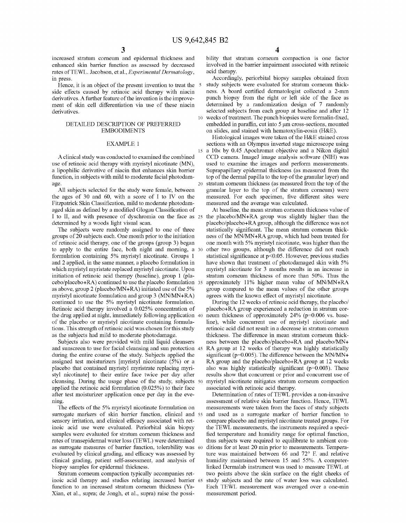increased stratum comeum and epidermal thickness and enhanced skin barrier function as assessed by decreased rates of TEWL. Jacobson, et al., *Experimental Dermatology*, in press.

Hence, it is an object of the present invention to treat the 5 side effects caused by retinoic acid therapy with niacin derivatives. A further feature of the invention is the improvement of skin cell differentiation via use of these niacin derivatives.

#### DETAILED DESCRIPTION OF PREFERRED EMBODIMENTS

#### EXAMPLE 1

A clinical study was conducted to examined the combined use of retinoic acid therapy with myristyl nicotinate (MN), a lipophilic derivative of niacin that enhances skin barrier function, in subjects with mild to moderate facial photodamage.

All subjects selected for the study were female, between the ages of 30 and 60, with a score of I to IV on the Fitzpatrick Skin Classification, mild to moderate photodamaged skin as defined by a modified Glogau Classification of I to II, and with presence of dyschromia on the face as  $25$ determined by a woods light visual scan.

The subjects were randomly assigned to one of three groups of 20 subjects each. One month prior to the initiation of retinoic acid therapy, one of the groups (group 3) began to apply to the entire face, both night and morning, a formulation containing 5% myristyl nicotinate. Groups 1 and 2 applied, in the same manner, a placebo formulation in which myristyl myristate replaced myristyl nicotinate. Upon initiation of retinoic acid therapy (baseline), group 1 (placebo/placebo+RA) continued to use the placebo formulation as above, group 2 (placebo/MN+RA) initiated use of the 5% myristyl nicotinate formulation and group 3 (MN/MN+RA) continued to use the 5% myristyl nicotinate formulation. Retinoic acid therapy involved a 0.025% concentration of the drug applied at night, immediately following application 40 of the placebo or myristyl nicotinate containing formulations. This strength of retinoic acid was chosen for this study as the subjects had mild to moderate photodamage.

Subjects also were provided with mild liquid cleansers and sunscreen to use for facial cleansing and sun protection during the entire course of the study. Subjects applied the assigned test moisturizers [myristyl nicotinate (5%) or a placebo that contained myristyl myristrate replacing myristyl nicotinate] to their entire face twice per day after cleansing. During the usage phase of the study, subjects applied the retinoic acid formulation (0.025%) to their face after test moisturizer application once per day in the evening.

The effects of the 5% myristyl nicotinate formulation on surrogate markers of skin barrier function, clinical and 55 sensory irritation, and clinical efficacy associated with retinoic acid use were evaluated. Periorbital skin biopsy samples were evaluated for stratum corneum thickness and rates of transepidermal water loss (TEWL) were determined as surrogate measures of barrier function, tolerability was evaluated by clinical grading, and efficacy was assessed by clinical grading, patient self-assessment, and analysis of biopsy samples for epidermal thickness.

Stratum corneum compaction typically accompanies retinoic acid therapy and studies relating increased barrier 65 function to an increased stratum corneum thickness (Ya-Xian, et al., supra; de Jongh, et al., supra) raise the possi-

bility that stratum corneum compaction is one factor involved in the barrier impairment associated with retinoic acid therapy.

Accordingly, periorbital biopsy samples obtained from study subjects were evaluated for stratum corneum thickness. A board certified dermatologist collected a 2-mm punch biopsy from the right or left side of the face as determined by a randomization design of 7 randomly selected subjects from each group at baseline and after 12 10 weeks of treatment. The punch biopsies were formalin-fixed, embedded in paraffin, cut into 5  $\mu$ m cross-sections, mounted on slides, and stained with hematoxylin-eosin (H&E).

Histological images were taken of the H&E stained cross sections with an Olympus inverted stage microscope using  $15$  a  $10\times$  by 0.45 Apochromat objective and a Nikon digital CCD camera. ImageJ image analysis software (NIH) was used to examine the images and perform measurements. Suprapapillary epidermal thickness (as measured from the top of the dermal papilla to the top of the granular layer) and 20 stratum comeum thickness (as measured from the top of the granular layer to the top of the stratum corneum) were measured. For each specimen, five different sites were measured and the average was calculated.

At baseline, the mean stratum comeum thickness value of the placebo/MN+RA group was slightly higher than the placebo/placebo+ RA group, although the difference was not statistically significant. The mean stratum comeum thickness of the MN/MN+RA group, which had been treated for one month with 5% myristyl nicotinate, was higher than the other two groups, although the difference did not reach statistical significance at p<0.05. However, previous studies have shown that treatment of photodamaged skin with 5% myristyl nicotinate for 3 months results in an increase in stratum comeum thickness of more than 50%. Thus the approximately 11% higher mean value of MN/MN+RA group compared to the mean values of the other groups agrees with the known effect of myristyl nicotinate.

During the 12 weeks of retinoic acid therapy, the placebo/ placebo+RA group experienced a reduction in stratum corneum thickness of approximately  $24\%$  (p=0.006 vs. baseline), while concurrent use of myristyl nicotinate and retinoic acid did not result in a decrease in stratum comeum thickness. The difference in mean stratum comeum thickness between the placebo/placebo+RA and placebo/MN+ RA group at 12 weeks of therapy was highly statistically significant ( $p=0.005$ ). The difference between the MN/MN+ RA group and the placebo/placebo+RA group at 12 weeks also was highly statistically significant ( $p=0.003$ ). These results show that concurrent or prior and concurrent use of 50 myristyl nicotinate mitigates stratum comeum compaction associated with retinoic acid therapy.

Determination of rates of TEWL provides a non-invasive assessment of relative skin barrier function. Hence, TEWL measurements were taken from the faces of study subjects and used as a surrogate marker of barrier function to compare placebo and myristyl nicotinate treated groups. For the TEWL measurements, the instruments required a specified temperature and humidity range for optimal function, thus subjects were required to equilibrate to ambient conditions for at least 20 min prior to measurements. Temperature was maintained between 66 and 72° F. and relative humidity maintained between 15 and 55%. A computerlinked Dermalab instrument was used to measure TEWL at two points above the skin surface on the right cheeks of study subjects and the rate of water loss was calculated. Each TEWL measurement was averaged over a one-min measurement period.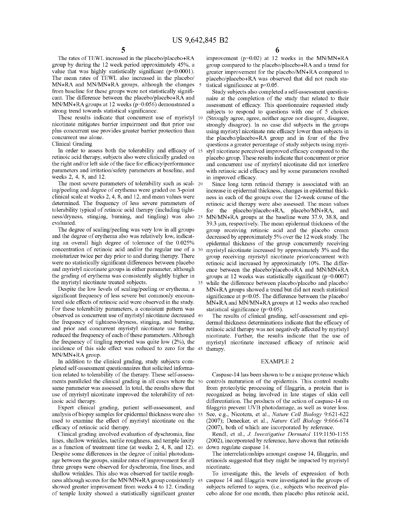The rates of TEWL increased in the placebo/placebo+RA group by during the 12 week period approximately 45%, a value that was highly statistically significant  $(p<0.0001)$ . The mean rates of TEWL also increased in the placebo/ MN+RA and MN/MN+RA groups, although the changes 5 from baseline for these groups were not statistically significant. The difference between the placebo/placebo+RA and MN/MN+RA groups at 12 weeks (p=0.056) demonstrated a strong trend towards statistical significance.

These results indicate that concurrent use of myristyl 10 nicotinate mitigates barrier impairment and that prior use plus concurrent use provides greater barrier protection than concurrent use alone.

Clinical Grading

In order to assess both the tolerability and efficacy of 15 retinoic acid therapy, subjects also were clinically graded on the right and/or left side of the face for efficacy/performance parameters and irritation/safety parameters at baseline, and weeks 2, 4, 8, and 12.

The most severe parameters of tolerability such as seal- <sup>20</sup> ing/peeling and degree of erythema were graded on 3-point clinical scale at weeks 2, 4, 8, and 12, and mean values were determined. The frequency of less severe parameters of tolerability typical of retinoic acid therapy (including tightness/dryness, stinging, burning, and tingling) was also 25 evaluated.

The degree of scaling/peeling was very low in all groups and the degree of erythema also was relatively low, indicating an overall high degree of tolerance of the 0.025% concentration of retinoic acid and/or the regular use of a 30 moisturizer twice per day prior to and during therapy. There were no statistically significant differences between placebo and myristyl nicotinate groups in either parameter, although the grading of erythema was consistently slightly higher in the myristyl nicotinate treated subjects.

Despite the low levels of scaling/peeling or erythema, a significant frequency of less severe but commonly encountered side effects of retinoic acid were observed in the study. For these tolerability parameters, a consistent pattern was observed as concurrent use of myristyl nicotinate decreased 40 the frequency of tightness/dryness, stinging, and burning, and prior and concurrent myristyl nicotinate use further reduced the frequency of each of these parameters. Although the frequency of tingling reported was quite low  $(2\%)$ , the incidence of this side effect was reduced to zero for the 45 MN/MN+RA group.

In addition to the clinical grading, study subjects completed self-assessment questionnaires that solicited information related to tolerability of the therapy. These self-assessments paralleled the clinical grading in all cases where the 50 controls maturation of the epidermis. This control results same parameter was assessed. In total, the results show that use of myristyl nicotinate improved the tolerability of retinoic acid therapy.

Expert clinical grading, patient self-assessment, and analysis of biopsy samples for epidermal thickness were also 55 used to examine the effect of myristyl nicotinate on the efficacy of retinoic acid therapy.

Clinical grading involved evaluation of dyschromia, fine lines, shallow wrinkles, tactile roughness, and temple laxity as a function of treatment time (at weeks 2, 4, 8, and 12). 60 Despite some differences in the degree of initial photodamage between the groups, similar rates of improvement for all three groups were observed for dyschromia, fine lines, and shallow wrinkles. This also was observed for tactile roughness although scores for the MN/MN+RAgroup consistently 65 showed greater improvement from weeks 4 to 12. Grading of temple laxity showed a statistically significant greater

improvement (p=0.02) at 12 weeks in the MN/MN+RA group compared to the placebo/placebo+RA and a trend for greater improvement for the placebo/MN+RA compared to placebo/placebo+RA was observed that did not reach statistical significance at p<0.05.

Study subjects also completed a self-assessment questionnaire at the completion of the study that related to their assessment of efficacy. This questionnaire requested study subjects to respond to questions with one of 5 choices (Strongly agree, agree, neither agree nor disagree, disagree, strongly disagree). In no case did subjects in the groups using myristyl nicotinate rate efficacy lower than subjects in the placebo/placebo+RA group and in four of the five questions a greater percentage of study subjects using myristyl nicotinate perceived improved efficacy compared to the placebo group. These results indicate that concurrent or prior and concurrent use of myristyl nicotinate did not interfere with retinoic acid efficacy and by some parameters resulted in improved efficacy.

Since long term retinoid therapy is associated with an increase in epidermal thickness, changes in epidermal thickness in each of the groups over the 12-week course of the retinoic acid therapy were also assessed. The mean values for the placebo/placebo+RA, placebo/MN+RA, and MN/MN+RA groups at the baseline were 37.9, 38.8, and 39.3 µm, respectively. The mean epidermal thickness of the group receiving retinoic acid and the placebo cream decreased by approximately 5% over the 12 week study. The epidermal thickness of the group concurrently receiving myristyl nicotinate increased by approximately 3% and the group receiving myristyl nicotinate prior/concurrent with retinoic acid increased by approximately 10%. The difference between the placebo/placebo+RA and MN/MN+RA groups at 12 weeks was statistically significant  $(p=0.0007)$ while the difference between placebo/placebo and placebo/ MN+RA groups showed a trend but did not reach statistical significance at p<0.05. The difference between the placebo/ MN+RAand MN/MN+RAgroups at 12 weeks also reached statistical significance (p=0.05).

The results of clinical grading, self-assessment and epidermal thickness determinations indicate that the efficacy of retinoic acid therapy was not negatively affected by myristyl nicotinate. Further, the results indicate that the use of myristyl nicotinate increased efficacy of retinoic acid therapy.

#### EXAMPLE 2

Caspase-14 has been shown to be a unique protease which from proteolytic processing of filaggrin, a protein that is recognized as being involved in late stages of skin cell differentiation. The products of the action of caspase-14 on filaggrin prevent UVB photodamage, as well as water loss. See, e.g., Nicotera, et al., *Nature Cell Biology* 9:621-622 (2007); Denecker, et al., *Nature Cell Biology* 9:666-674 (2007), both of which are incorporated by reference.

Rend!, et al., J. *Investigative Dermatol* 119: 1150-1155 (2002), incorporated by reference, have shown that retinoids down regulate caspase 14.

The interrelationships amongst caspase 14, filaggrin, and retinoids suggested that they might be impacted by myristyl nicotinate.

To investigate this, the levels of expression of both caspase 14 and filaggrin were investigated in the groups of subjects referred to supra, (i.e., subjects who received placebo alone for one month, then placebo plus retinoic acid,